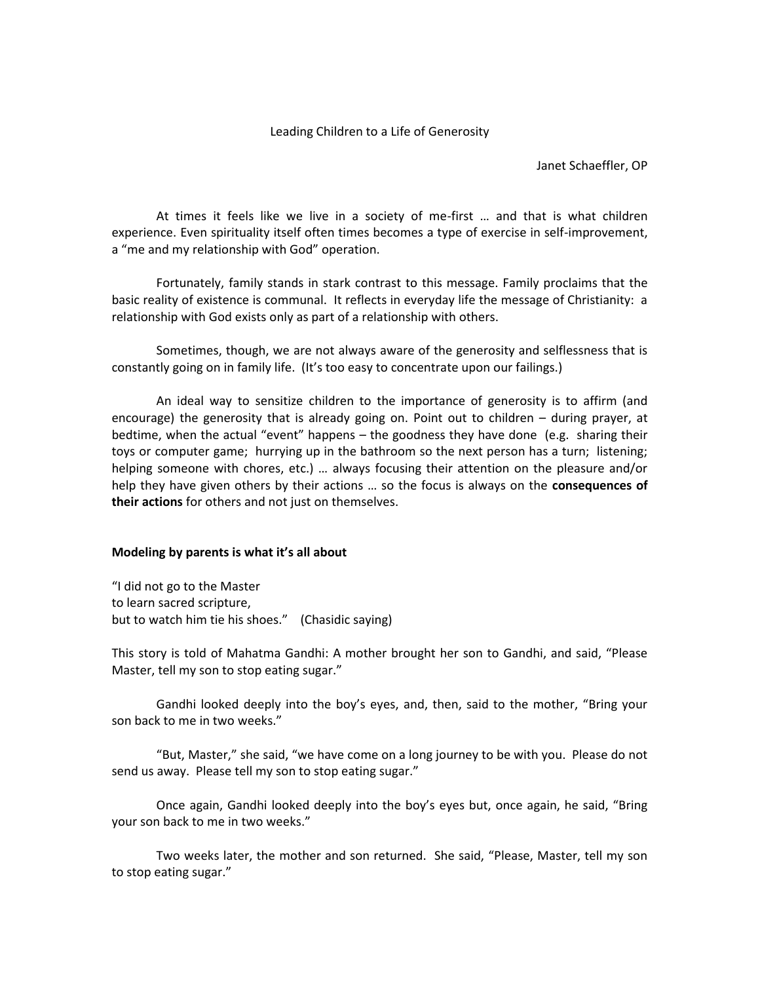#### Leading Children to a Life of Generosity

Janet Schaeffler, OP

At times it feels like we live in a society of me-first … and that is what children experience. Even spirituality itself often times becomes a type of exercise in self-improvement, a "me and my relationship with God" operation.

Fortunately, family stands in stark contrast to this message. Family proclaims that the basic reality of existence is communal. It reflects in everyday life the message of Christianity: a relationship with God exists only as part of a relationship with others.

Sometimes, though, we are not always aware of the generosity and selflessness that is constantly going on in family life. (It's too easy to concentrate upon our failings.)

An ideal way to sensitize children to the importance of generosity is to affirm (and encourage) the generosity that is already going on. Point out to children – during prayer, at bedtime, when the actual "event" happens – the goodness they have done (e.g. sharing their toys or computer game; hurrying up in the bathroom so the next person has a turn; listening; helping someone with chores, etc.) … always focusing their attention on the pleasure and/or help they have given others by their actions … so the focus is always on the **consequences of their actions** for others and not just on themselves.

## **Modeling by parents is what it's all about**

"I did not go to the Master to learn sacred scripture, but to watch him tie his shoes." (Chasidic saying)

This story is told of Mahatma Gandhi: A mother brought her son to Gandhi, and said, "Please Master, tell my son to stop eating sugar."

Gandhi looked deeply into the boy's eyes, and, then, said to the mother, "Bring your son back to me in two weeks."

"But, Master," she said, "we have come on a long journey to be with you. Please do not send us away. Please tell my son to stop eating sugar."

Once again, Gandhi looked deeply into the boy's eyes but, once again, he said, "Bring your son back to me in two weeks."

Two weeks later, the mother and son returned. She said, "Please, Master, tell my son to stop eating sugar."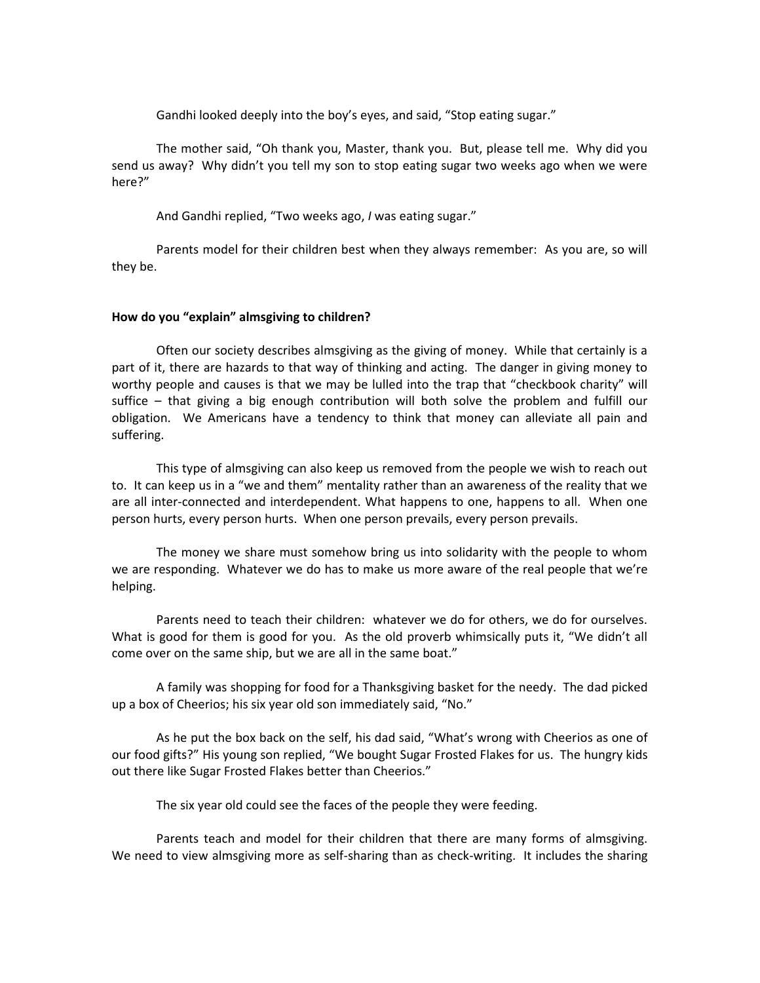Gandhi looked deeply into the boy's eyes, and said, "Stop eating sugar."

The mother said, "Oh thank you, Master, thank you. But, please tell me. Why did you send us away? Why didn't you tell my son to stop eating sugar two weeks ago when we were here?"

And Gandhi replied, "Two weeks ago, *I* was eating sugar."

Parents model for their children best when they always remember: As you are, so will they be.

#### **How do you "explain" almsgiving to children?**

Often our society describes almsgiving as the giving of money. While that certainly is a part of it, there are hazards to that way of thinking and acting. The danger in giving money to worthy people and causes is that we may be lulled into the trap that "checkbook charity" will suffice – that giving a big enough contribution will both solve the problem and fulfill our obligation. We Americans have a tendency to think that money can alleviate all pain and suffering.

This type of almsgiving can also keep us removed from the people we wish to reach out to. It can keep us in a "we and them" mentality rather than an awareness of the reality that we are all inter-connected and interdependent. What happens to one, happens to all. When one person hurts, every person hurts. When one person prevails, every person prevails.

The money we share must somehow bring us into solidarity with the people to whom we are responding. Whatever we do has to make us more aware of the real people that we're helping.

Parents need to teach their children: whatever we do for others, we do for ourselves. What is good for them is good for you. As the old proverb whimsically puts it, "We didn't all come over on the same ship, but we are all in the same boat."

A family was shopping for food for a Thanksgiving basket for the needy. The dad picked up a box of Cheerios; his six year old son immediately said, "No."

As he put the box back on the self, his dad said, "What's wrong with Cheerios as one of our food gifts?" His young son replied, "We bought Sugar Frosted Flakes for us. The hungry kids out there like Sugar Frosted Flakes better than Cheerios."

The six year old could see the faces of the people they were feeding.

Parents teach and model for their children that there are many forms of almsgiving. We need to view almsgiving more as self-sharing than as check-writing. It includes the sharing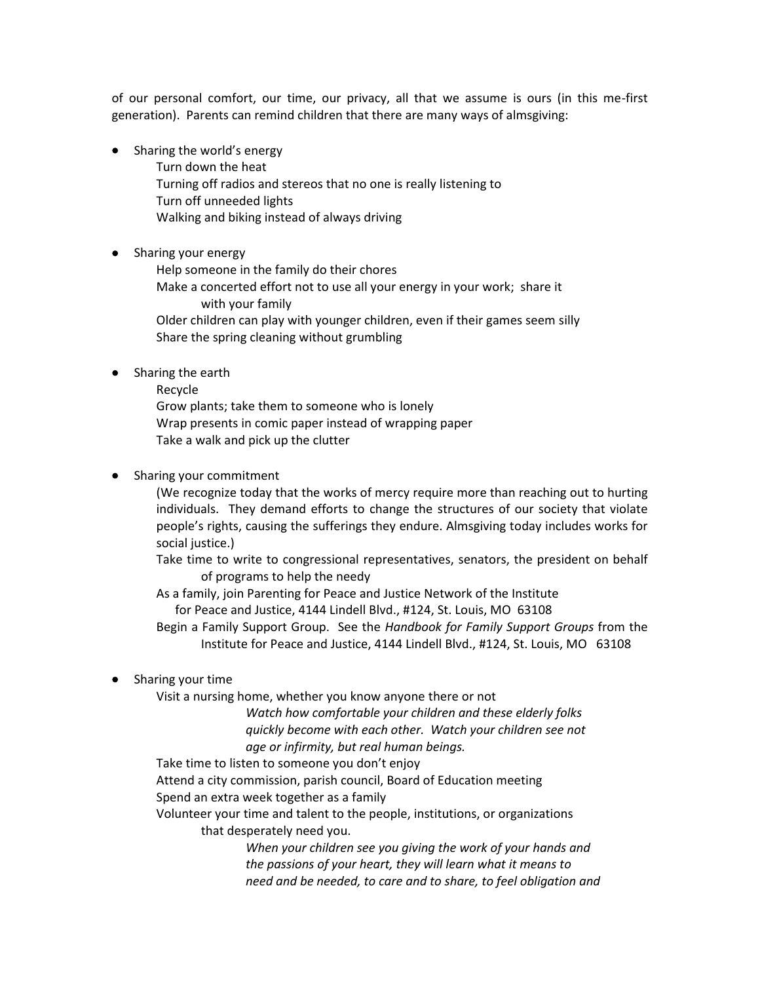of our personal comfort, our time, our privacy, all that we assume is ours (in this me-first generation). Parents can remind children that there are many ways of almsgiving:

- Sharing the world's energy Turn down the heat Turning off radios and stereos that no one is really listening to Turn off unneeded lights Walking and biking instead of always driving
- Sharing your energy

Help someone in the family do their chores

Make a concerted effort not to use all your energy in your work; share it with your family

Older children can play with younger children, even if their games seem silly Share the spring cleaning without grumbling

- Sharing the earth
	- Recycle Grow plants; take them to someone who is lonely Wrap presents in comic paper instead of wrapping paper Take a walk and pick up the clutter

## Sharing your commitment

(We recognize today that the works of mercy require more than reaching out to hurting individuals. They demand efforts to change the structures of our society that violate people's rights, causing the sufferings they endure. Almsgiving today includes works for social justice.)

Take time to write to congressional representatives, senators, the president on behalf of programs to help the needy

As a family, join Parenting for Peace and Justice Network of the Institute for Peace and Justice, 4144 Lindell Blvd., #124, St. Louis, MO 63108

Begin a Family Support Group. See the *Handbook for Family Support Groups* from the Institute for Peace and Justice, 4144 Lindell Blvd., #124, St. Louis, MO 63108

Sharing your time

Visit a nursing home, whether you know anyone there or not

*Watch how comfortable your children and these elderly folks quickly become with each other. Watch your children see not age or infirmity, but real human beings.*

Take time to listen to someone you don't enjoy

Attend a city commission, parish council, Board of Education meeting

Spend an extra week together as a family

Volunteer your time and talent to the people, institutions, or organizations that desperately need you.

> *When your children see you giving the work of your hands and the passions of your heart, they will learn what it means to need and be needed, to care and to share, to feel obligation and*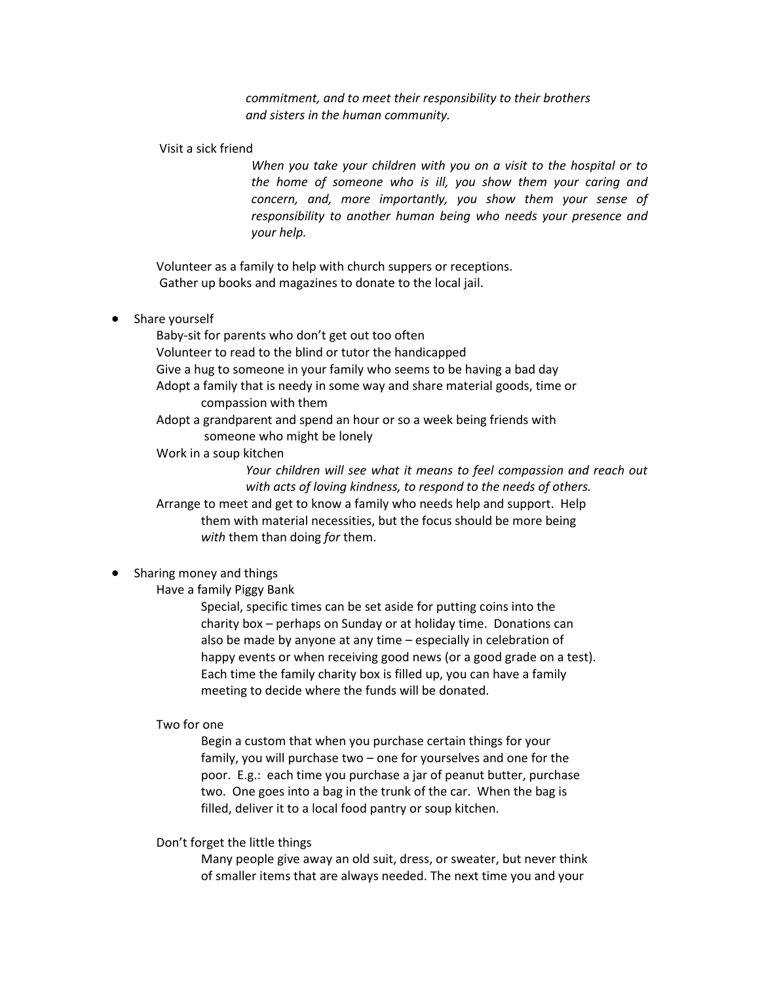*commitment, and to meet their responsibility to their brothers and sisters in the human community.*

Visit a sick friend

*When you take your children with you on a visit to the hospital or to the home of someone who is ill, you show them your caring and concern, and, more importantly, you show them your sense of responsibility to another human being who needs your presence and your help.*

Volunteer as a family to help with church suppers or receptions. Gather up books and magazines to donate to the local jail.

## Share yourself

Baby-sit for parents who don't get out too often Volunteer to read to the blind or tutor the handicapped Give a hug to someone in your family who seems to be having a bad day Adopt a family that is needy in some way and share material goods, time or compassion with them Adopt a grandparent and spend an hour or so a week being friends with someone who might be lonely

Work in a soup kitchen

*Your children will see what it means to feel compassion and reach out with acts of loving kindness, to respond to the needs of others.*

Arrange to meet and get to know a family who needs help and support. Help them with material necessities, but the focus should be more being *with* them than doing *for* them.

# Sharing money and things

Have a family Piggy Bank

Special, specific times can be set aside for putting coins into the charity box – perhaps on Sunday or at holiday time. Donations can also be made by anyone at any time – especially in celebration of happy events or when receiving good news (or a good grade on a test). Each time the family charity box is filled up, you can have a family meeting to decide where the funds will be donated.

## Two for one

Begin a custom that when you purchase certain things for your family, you will purchase two – one for yourselves and one for the poor. E.g.: each time you purchase a jar of peanut butter, purchase two. One goes into a bag in the trunk of the car. When the bag is filled, deliver it to a local food pantry or soup kitchen.

Don't forget the little things

Many people give away an old suit, dress, or sweater, but never think of smaller items that are always needed. The next time you and your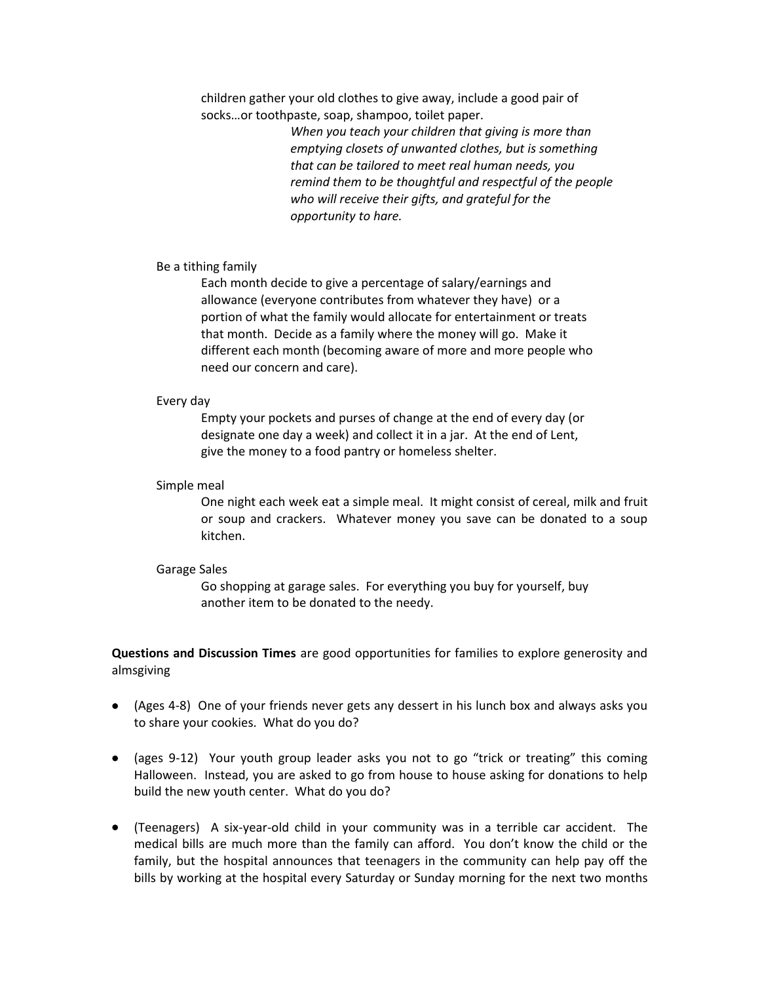children gather your old clothes to give away, include a good pair of socks…or toothpaste, soap, shampoo, toilet paper.

> *When you teach your children that giving is more than emptying closets of unwanted clothes, but is something that can be tailored to meet real human needs, you remind them to be thoughtful and respectful of the people who will receive their gifts, and grateful for the opportunity to hare.*

## Be a tithing family

Each month decide to give a percentage of salary/earnings and allowance (everyone contributes from whatever they have) or a portion of what the family would allocate for entertainment or treats that month. Decide as a family where the money will go. Make it different each month (becoming aware of more and more people who need our concern and care).

#### Every day

Empty your pockets and purses of change at the end of every day (or designate one day a week) and collect it in a jar. At the end of Lent, give the money to a food pantry or homeless shelter.

#### Simple meal

One night each week eat a simple meal. It might consist of cereal, milk and fruit or soup and crackers. Whatever money you save can be donated to a soup kitchen.

#### Garage Sales

Go shopping at garage sales. For everything you buy for yourself, buy another item to be donated to the needy.

**Questions and Discussion Times** are good opportunities for families to explore generosity and almsgiving

- (Ages 4-8) One of your friends never gets any dessert in his lunch box and always asks you to share your cookies. What do you do?
- (ages 9-12) Your youth group leader asks you not to go "trick or treating" this coming Halloween. Instead, you are asked to go from house to house asking for donations to help build the new youth center. What do you do?
- (Teenagers) A six-year-old child in your community was in a terrible car accident. The medical bills are much more than the family can afford. You don't know the child or the family, but the hospital announces that teenagers in the community can help pay off the bills by working at the hospital every Saturday or Sunday morning for the next two months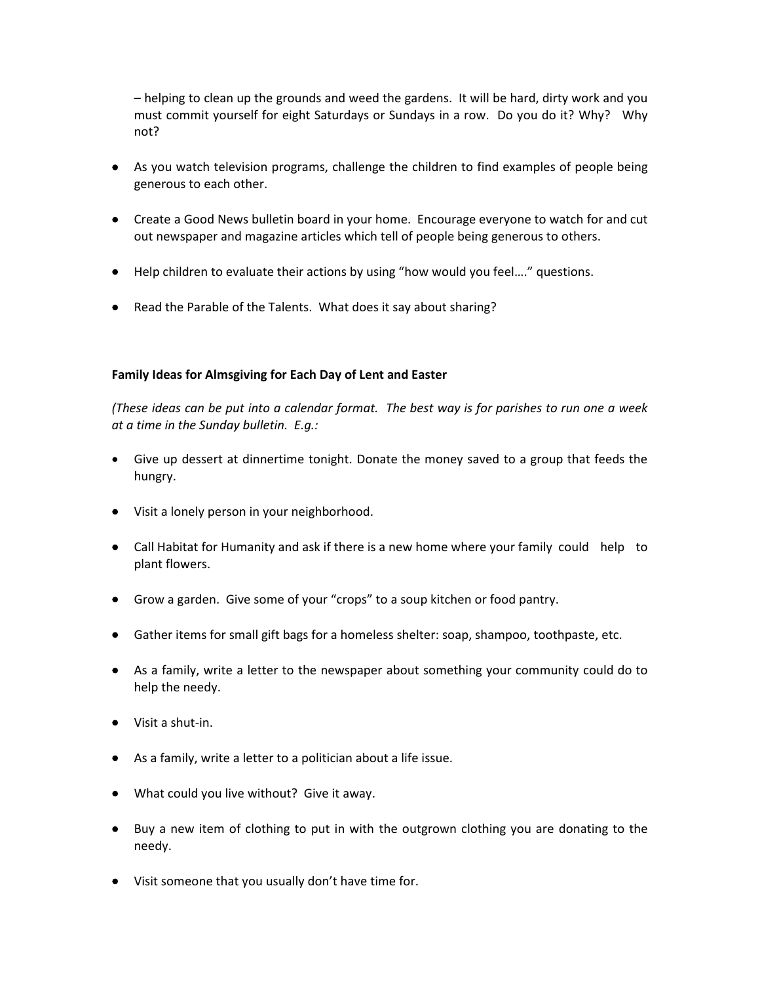– helping to clean up the grounds and weed the gardens. It will be hard, dirty work and you must commit yourself for eight Saturdays or Sundays in a row. Do you do it? Why? Why not?

- As you watch television programs, challenge the children to find examples of people being generous to each other.
- Create a Good News bulletin board in your home. Encourage everyone to watch for and cut out newspaper and magazine articles which tell of people being generous to others.
- Help children to evaluate their actions by using "how would you feel…." questions.
- Read the Parable of the Talents. What does it say about sharing?

# **Family Ideas for Almsgiving for Each Day of Lent and Easter**

*(These ideas can be put into a calendar format. The best way is for parishes to run one a week at a time in the Sunday bulletin. E.g.:*

- Give up dessert at dinnertime tonight. Donate the money saved to a group that feeds the hungry.
- Visit a lonely person in your neighborhood.
- Call Habitat for Humanity and ask if there is a new home where your family could help to plant flowers.
- Grow a garden. Give some of your "crops" to a soup kitchen or food pantry.
- Gather items for small gift bags for a homeless shelter: soap, shampoo, toothpaste, etc.
- As a family, write a letter to the newspaper about something your community could do to help the needy.
- Visit a shut-in.
- As a family, write a letter to a politician about a life issue.
- What could you live without? Give it away.
- Buy a new item of clothing to put in with the outgrown clothing you are donating to the needy.
- Visit someone that you usually don't have time for.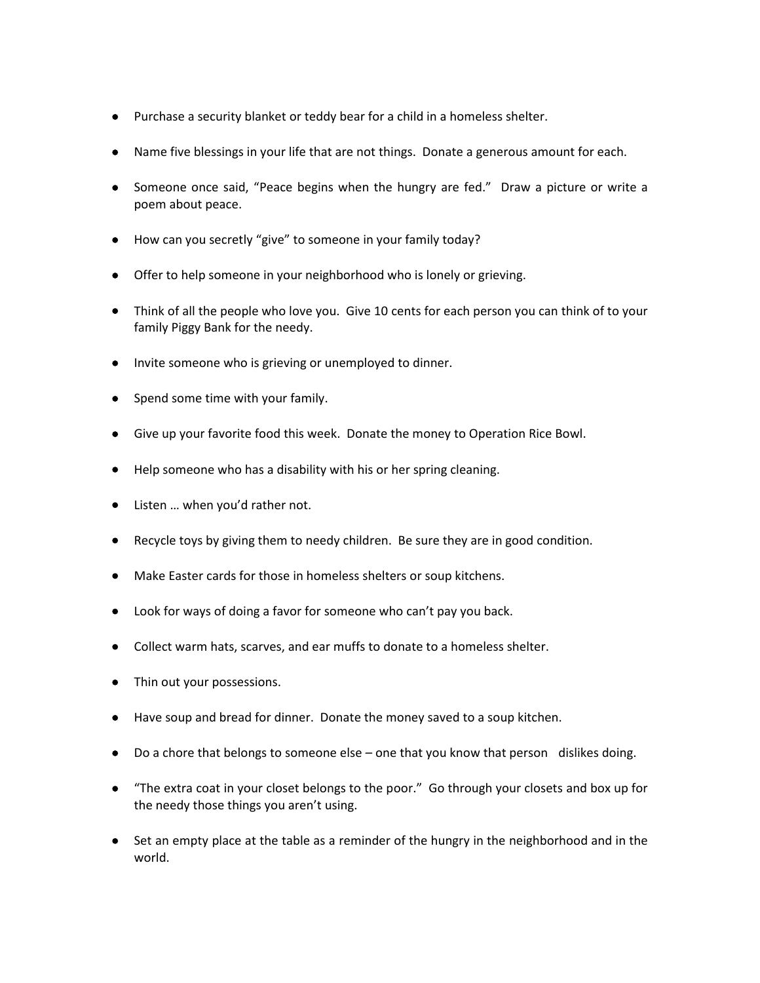- Purchase a security blanket or teddy bear for a child in a homeless shelter.
- Name five blessings in your life that are not things. Donate a generous amount for each.
- Someone once said, "Peace begins when the hungry are fed." Draw a picture or write a poem about peace.
- How can you secretly "give" to someone in your family today?
- Offer to help someone in your neighborhood who is lonely or grieving.
- Think of all the people who love you. Give 10 cents for each person you can think of to your family Piggy Bank for the needy.
- Invite someone who is grieving or unemployed to dinner.
- $\bullet$  Spend some time with your family.
- Give up your favorite food this week. Donate the money to Operation Rice Bowl.
- Help someone who has a disability with his or her spring cleaning.
- Listen ... when you'd rather not.
- Recycle toys by giving them to needy children. Be sure they are in good condition.
- Make Easter cards for those in homeless shelters or soup kitchens.
- Look for ways of doing a favor for someone who can't pay you back.
- Collect warm hats, scarves, and ear muffs to donate to a homeless shelter.
- Thin out your possessions.
- Have soup and bread for dinner. Donate the money saved to a soup kitchen.
- Do a chore that belongs to someone else one that you know that person dislikes doing.
- "The extra coat in your closet belongs to the poor." Go through your closets and box up for the needy those things you aren't using.
- Set an empty place at the table as a reminder of the hungry in the neighborhood and in the world.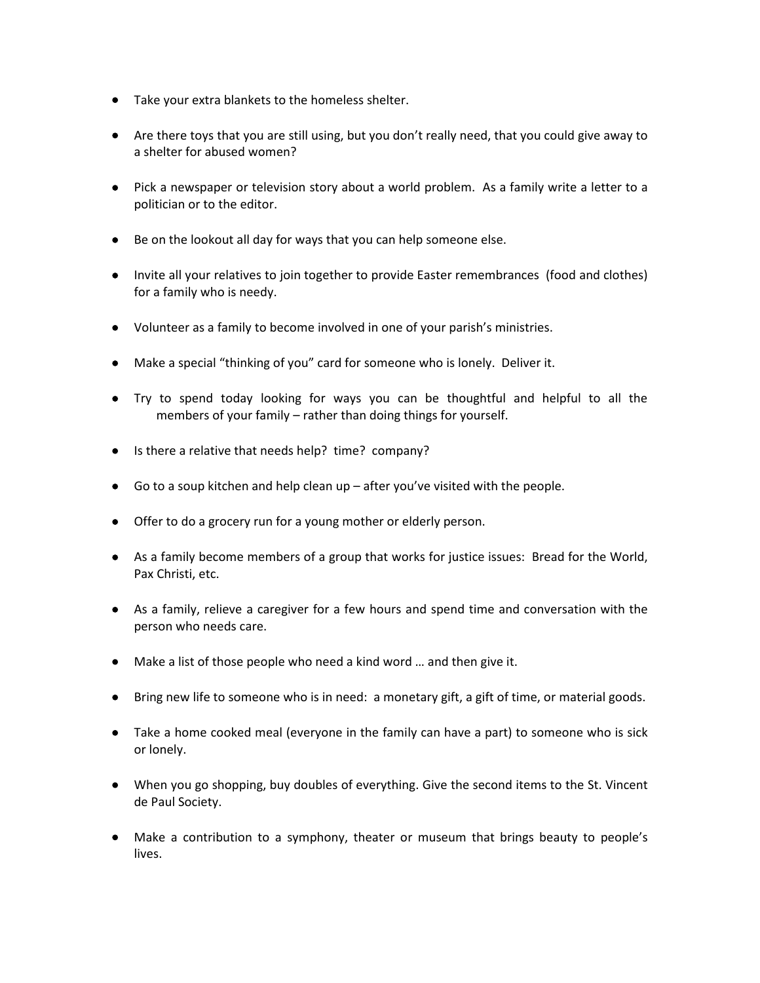- Take your extra blankets to the homeless shelter.
- Are there toys that you are still using, but you don't really need, that you could give away to a shelter for abused women?
- Pick a newspaper or television story about a world problem. As a family write a letter to a politician or to the editor.
- Be on the lookout all day for ways that you can help someone else.
- Invite all your relatives to join together to provide Easter remembrances (food and clothes) for a family who is needy.
- Volunteer as a family to become involved in one of your parish's ministries.
- Make a special "thinking of you" card for someone who is lonely. Deliver it.
- Try to spend today looking for ways you can be thoughtful and helpful to all the members of your family – rather than doing things for yourself.
- Is there a relative that needs help? time? company?
- $\bullet$  Go to a soup kitchen and help clean up after you've visited with the people.
- Offer to do a grocery run for a young mother or elderly person.
- As a family become members of a group that works for justice issues: Bread for the World, Pax Christi, etc.
- As a family, relieve a caregiver for a few hours and spend time and conversation with the person who needs care.
- Make a list of those people who need a kind word … and then give it.
- Bring new life to someone who is in need: a monetary gift, a gift of time, or material goods.
- Take a home cooked meal (everyone in the family can have a part) to someone who is sick or lonely.
- When you go shopping, buy doubles of everything. Give the second items to the St. Vincent de Paul Society.
- Make a contribution to a symphony, theater or museum that brings beauty to people's lives.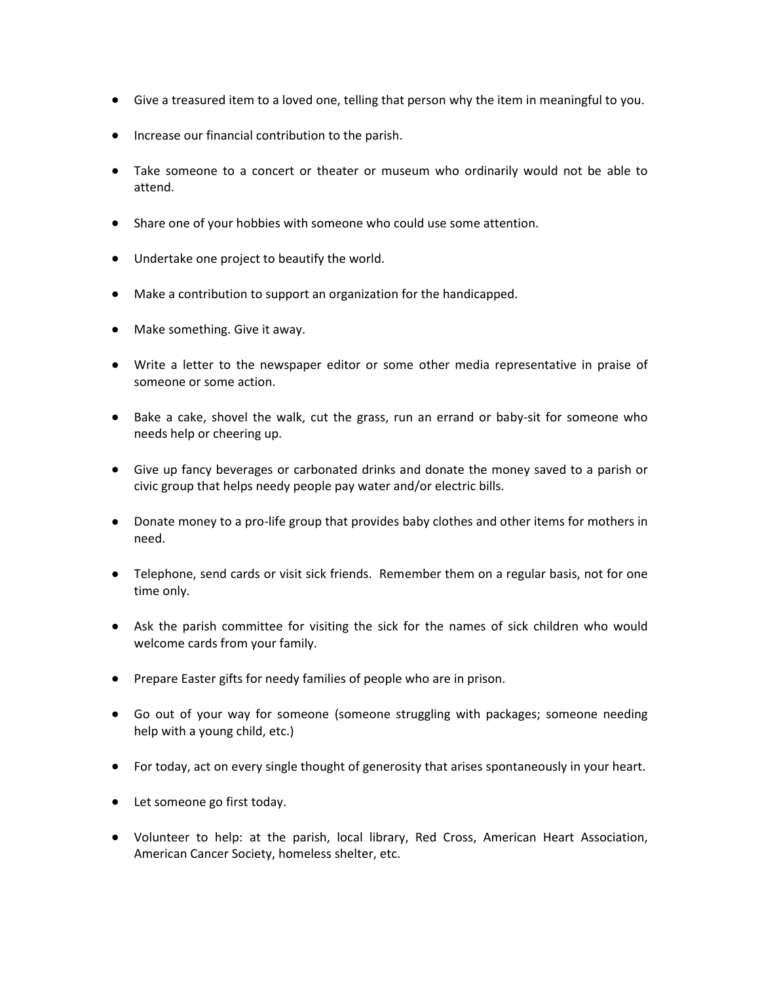- Give a treasured item to a loved one, telling that person why the item in meaningful to you.
- **•** Increase our financial contribution to the parish.
- Take someone to a concert or theater or museum who ordinarily would not be able to attend.
- Share one of your hobbies with someone who could use some attention.
- Undertake one project to beautify the world.
- Make a contribution to support an organization for the handicapped.
- Make something. Give it away.
- Write a letter to the newspaper editor or some other media representative in praise of someone or some action.
- Bake a cake, shovel the walk, cut the grass, run an errand or baby-sit for someone who needs help or cheering up.
- Give up fancy beverages or carbonated drinks and donate the money saved to a parish or civic group that helps needy people pay water and/or electric bills.
- Donate money to a pro-life group that provides baby clothes and other items for mothers in need.
- Telephone, send cards or visit sick friends. Remember them on a regular basis, not for one time only.
- Ask the parish committee for visiting the sick for the names of sick children who would welcome cards from your family.
- Prepare Easter gifts for needy families of people who are in prison.
- Go out of your way for someone (someone struggling with packages; someone needing help with a young child, etc.)
- For today, act on every single thought of generosity that arises spontaneously in your heart.
- Let someone go first today.
- Volunteer to help: at the parish, local library, Red Cross, American Heart Association, American Cancer Society, homeless shelter, etc.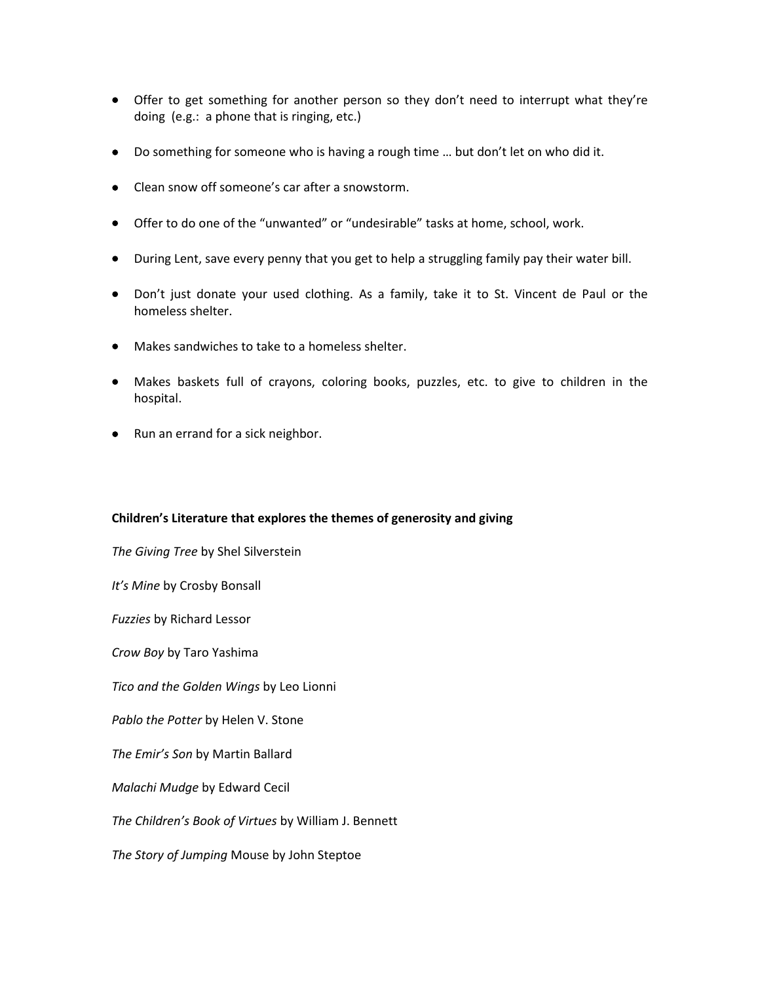- Offer to get something for another person so they don't need to interrupt what they're doing (e.g.: a phone that is ringing, etc.)
- Do something for someone who is having a rough time ... but don't let on who did it.
- Clean snow off someone's car after a snowstorm.
- Offer to do one of the "unwanted" or "undesirable" tasks at home, school, work.
- During Lent, save every penny that you get to help a struggling family pay their water bill.
- Don't just donate your used clothing. As a family, take it to St. Vincent de Paul or the homeless shelter.
- Makes sandwiches to take to a homeless shelter.
- Makes baskets full of crayons, coloring books, puzzles, etc. to give to children in the hospital.
- Run an errand for a sick neighbor.

# **Children's Literature that explores the themes of generosity and giving**

*The Giving Tree* by Shel Silverstein *It's Mine* by Crosby Bonsall *Fuzzies* by Richard Lessor *Crow Boy* by Taro Yashima *Tico and the Golden Wings* by Leo Lionni *Pablo the Potter* by Helen V. Stone *The Emir's Son* by Martin Ballard *Malachi Mudge* by Edward Cecil *The Children's Book of Virtues* by William J. Bennett *The Story of Jumping* Mouse by John Steptoe